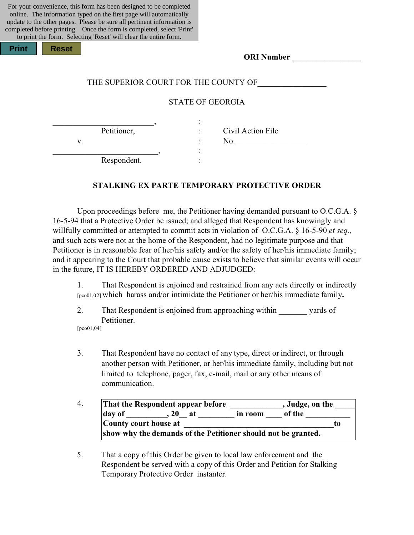For your convenience, this form has been designed to be completed online. The information typed on the first page will automatically update to the other pages. Please be sure all pertinent information is completed before printing. Once the form is completed, select 'Print' to print the form. Selecting 'Reset' will clear the entire form.

| <b>Print</b> |  |
|--------------|--|
|              |  |
|              |  |

| <b>ORI</b> Number |  |
|-------------------|--|
|                   |  |

#### THE SUPERIOR COURT FOR THE COUNTY OF

#### STATE OF GEORGIA

\_\_\_\_\_\_\_\_\_\_\_\_\_\_\_\_\_\_\_\_\_\_\_\_\_, : Petitioner, : Civil Action File

**Print Reset**

v. No.

Respondent.

\_\_\_\_\_\_\_\_\_\_\_\_\_\_\_\_\_\_\_\_\_\_\_\_\_\_, :

## **STALKING EX PARTE TEMPORARY PROTECTIVE ORDER**

Upon proceedings before me, the Petitioner having demanded pursuant to O.C.G.A. § 16-5-94 that a Protective Order be issued; and alleged that Respondent has knowingly and willfully committed or attempted to commit acts in violation of O.C.G.A. § 16-5-90 *et seq.,* and such acts were not at the home of the Respondent, had no legitimate purpose and that Petitioner is in reasonable fear of her/his safety and/or the safety of her/his immediate family; and it appearing to the Court that probable cause exists to believe that similar events will occur in the future, IT IS HEREBY ORDERED AND ADJUDGED:

1. That Respondent is enjoined and restrained from any acts directly or indirectly [pco01,02] which harass and/or intimidate the Petitioner or her/his immediate family**.**

- 2. That Respondent is enjoined from approaching within yards of Petitioner. [pco01,04]
- 3. That Respondent have no contact of any type, direct or indirect, or through another person with Petitioner, or her/his immediate family, including but not limited to telephone, pager, fax, e-mail, mail or any other means of communication.
- 4. **That the Respondent appear before \_\_\_\_\_\_\_\_\_\_\_\_\_, Judge, on the \_\_\_\_\_** day of \_\_\_\_\_\_\_\_\_\_, 20\_\_ at \_\_\_\_\_\_\_\_ in room \_\_\_\_\_ of the \_\_\_\_\_\_\_\_\_\_\_\_\_\_\_\_\_\_\_\_\_\_\_\_\_ **County court house at \_\_\_\_\_\_\_\_\_\_\_\_\_\_\_\_\_\_\_\_\_\_\_\_\_\_\_\_\_\_\_\_\_\_\_\_\_to show why the demands of the Petitioner should not be granted.**
- 5. That a copy of this Order be given to local law enforcement and the Respondent be served with a copy of this Order and Petition for Stalking Temporary Protective Order instanter.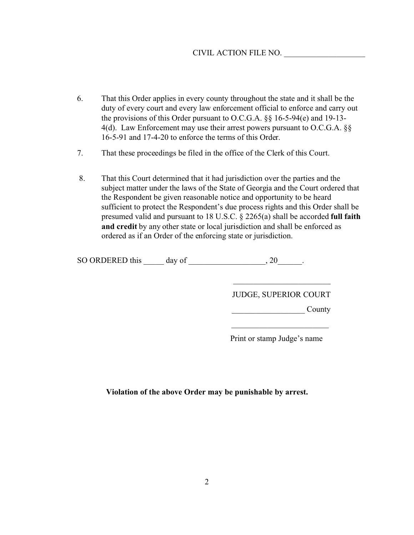### CIVIL ACTION FILE NO. \_\_\_\_\_\_\_\_\_\_\_\_\_\_\_\_\_\_\_\_

- 6. That this Order applies in every county throughout the state and it shall be the duty of every court and every law enforcement official to enforce and carry out the provisions of this Order pursuant to O.C.G.A. §§ 16-5-94(e) and 19-13- 4(d). Law Enforcement may use their arrest powers pursuant to O.C.G.A. §§ 16-5-91 and 17-4-20 to enforce the terms of this Order.
- 7. That these proceedings be filed in the office of the Clerk of this Court.
- 8. That this Court determined that it had jurisdiction over the parties and the subject matter under the laws of the State of Georgia and the Court ordered that the Respondent be given reasonable notice and opportunity to be heard sufficient to protect the Respondent's due process rights and this Order shall be presumed valid and pursuant to 18 U.S.C. § 2265(a) shall be accorded **full faith and credit** by any other state or local jurisdiction and shall be enforced as ordered as if an Order of the enforcing state or jurisdiction.

| SO ORDERED this<br>day of |  |
|---------------------------|--|
|---------------------------|--|

JUDGE, SUPERIOR COURT

\_\_\_\_\_\_\_\_\_\_\_\_\_\_\_\_\_\_\_\_\_\_\_\_

\_\_\_\_\_\_\_\_\_\_\_\_\_\_\_\_\_\_ County

Print or stamp Judge's name

\_\_\_\_\_\_\_\_\_\_\_\_\_\_\_\_\_\_\_\_\_\_\_\_

**Violation of the above Order may be punishable by arrest.**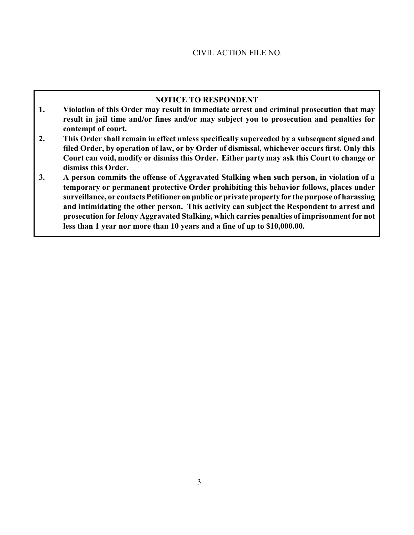#### **NOTICE TO RESPONDENT**

- **1. Violation of this Order may result in immediate arrest and criminal prosecution that may result in jail time and/or fines and/or may subject you to prosecution and penalties for contempt of court.**
- **2. This Order shall remain in effect unless specifically superceded by a subsequent signed and filed Order, by operation of law, or by Order of dismissal, whichever occurs first. Only this Court can void, modify or dismiss this Order. Either party may ask this Court to change or dismiss this Order.**
- **3. A person commits the offense of Aggravated Stalking when such person, in violation of a temporary or permanent protective Order prohibiting this behavior follows, places under surveillance, or contacts Petitioner on public or private property for the purpose of harassing and intimidating the other person. This activity can subject the Respondent to arrest and prosecution for felony Aggravated Stalking, which carries penalties of imprisonment for not less than 1 year nor more than 10 years and a fine of up to \$10,000.00.**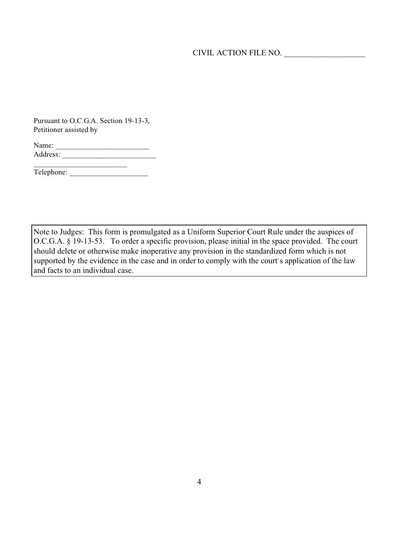CIVIL ACTION FILE NO. \_\_\_\_\_\_\_\_\_\_\_\_\_\_\_\_\_\_\_\_

Pursuant to O.C.G.A. Section 19-13-3, Petitioner assisted by

| Name:    |  |  |
|----------|--|--|
| Address: |  |  |
|          |  |  |

Telephone: \_\_\_\_\_\_\_\_\_\_\_\_\_\_\_\_\_\_\_\_\_

Note to Judges: This form is promulgated as a Uniform Superior Court Rule under the auspices of O.C.G.A. § 19-13-53. To order a specific provision, please initial in the space provided. The court should delete or otherwise make inoperative any provision in the standardized form which is not supported by the evidence in the case and in order to comply with the court's application of the law and facts to an individual case.